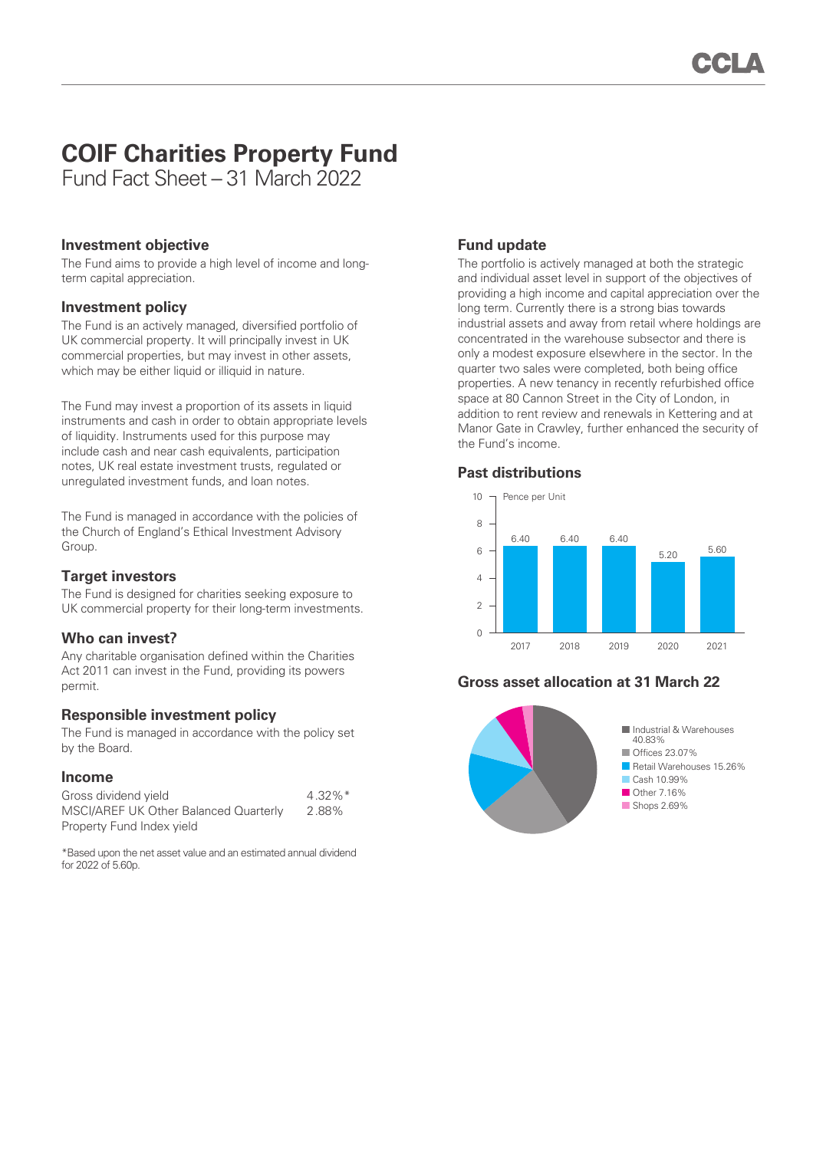# **COIF Charities Property Fund**

Fund Fact Sheet – 31 March 2022

### **Investment objective**

The Fund aims to provide a high level of income and longterm capital appreciation.

### **Investment policy**

The Fund is an actively managed, diversified portfolio of UK commercial property. It will principally invest in UK commercial properties, but may invest in other assets, which may be either liquid or illiquid in nature.

The Fund may invest a proportion of its assets in liquid instruments and cash in order to obtain appropriate levels of liquidity. Instruments used for this purpose may include cash and near cash equivalents, participation notes, UK real estate investment trusts, regulated or unregulated investment funds, and loan notes.

The Fund is managed in accordance with the policies of the Church of England's Ethical Investment Advisory Group.

#### **Target investors**

The Fund is designed for charities seeking exposure to UK commercial property for their long-term investments.

## **Who can invest?**

Any charitable organisation defined within the Charities Act 2011 can invest in the Fund, providing its powers permit.

## **Responsible investment policy**

The Fund is managed in accordance with the policy set by the Board.

#### **Income**

| Gross dividend yield                  | $4.32\%$ <sup>*</sup> |
|---------------------------------------|-----------------------|
| MSCI/AREF UK Other Balanced Quarterly | 2.88%                 |
| Property Fund Index yield             |                       |

\*Based upon the net asset value and an estimated annual dividend for  $2022$  of  $5.60p$ 

## **Fund update**

The portfolio is actively managed at both the strategic and individual asset level in support of the objectives of providing a high income and capital appreciation over the long term. Currently there is a strong bias towards industrial assets and away from retail where holdings are concentrated in the warehouse subsector and there is only a modest exposure elsewhere in the sector. In the quarter two sales were completed, both being office properties. A new tenancy in recently refurbished office space at 80 Cannon Street in the City of London, in addition to rent review and renewals in Kettering and at Manor Gate in Crawley, further enhanced the security of the Fund's income.

#### **Past distributions**



## **Gross asset allocation at 31 March 22**